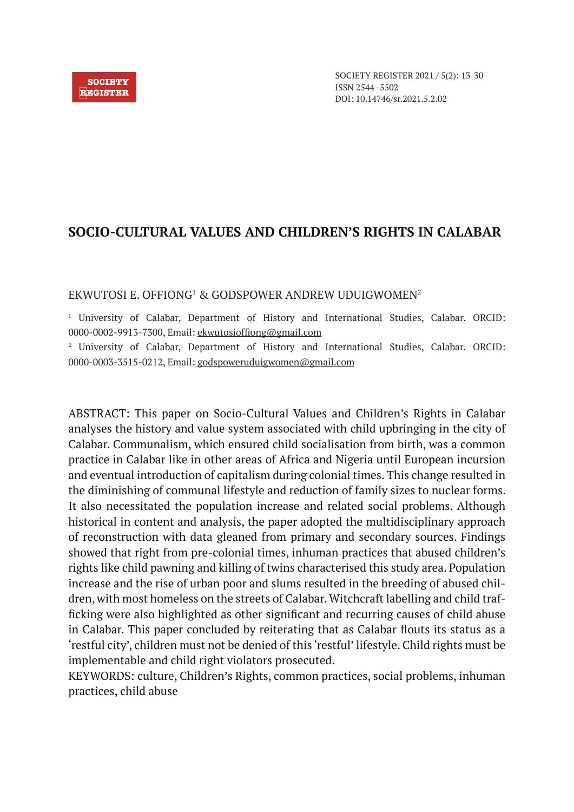#### **SOCIETY REGISTER**

# **SOCIO-CULTURAL VALUES AND CHILDREN'S RIGHTS IN CALABAR**

### EKWUTOSI E. OFFIONG1 & GODSPOWER ANDREW UDUIGWOMEN2

1 University of Calabar, Department of History and International Studies, Calabar. ORCID: 0000-0002-9913-7300, Email: ekwutosioffiong@gmail.com

2 University of Calabar, Department of History and International Studies, Calabar. ORCID: 0000-0003-3515-0212, Email: godspoweruduigwomen@gmail.com

ABSTRACT: This paper on Socio-Cultural Values and Children's Rights in Calabar analyses the history and value system associated with child upbringing in the city of Calabar. Communalism, which ensured child socialisation from birth, was a common practice in Calabar like in other areas of Africa and Nigeria until European incursion and eventual introduction of capitalism during colonial times. This change resulted in the diminishing of communal lifestyle and reduction of family sizes to nuclear forms. It also necessitated the population increase and related social problems. Although historical in content and analysis, the paper adopted the multidisciplinary approach of reconstruction with data gleaned from primary and secondary sources. Findings showed that right from pre-colonial times, inhuman practices that abused children's rights like child pawning and killing of twins characterised this study area. Population increase and the rise of urban poor and slums resulted in the breeding of abused children, with most homeless on the streets of Calabar. Witchcraft labelling and child trafficking were also highlighted as other significant and recurring causes of child abuse in Calabar. This paper concluded by reiterating that as Calabar flouts its status as a 'restful city', children must not be denied of this 'restful' lifestyle. Child rights must be implementable and child right violators prosecuted.

KEYWORDS: culture, Children's Rights, common practices, social problems, inhuman practices, child abuse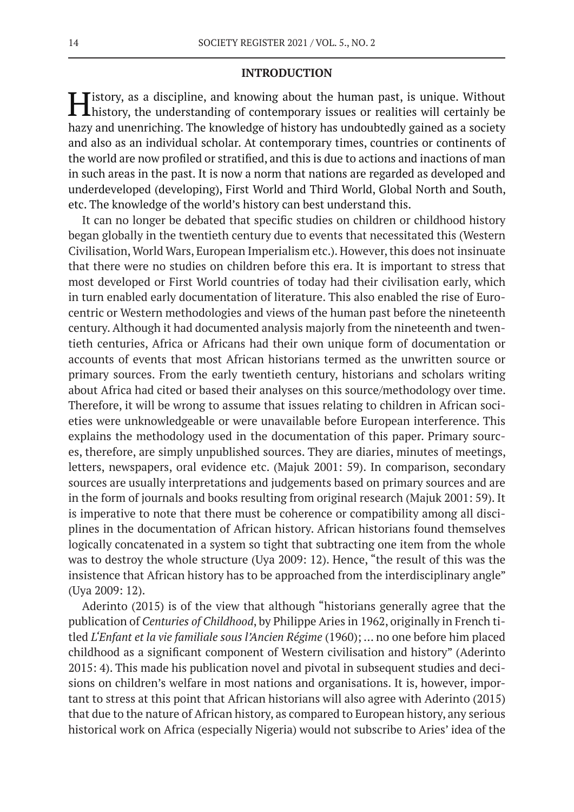#### **INTRODUCTION**

History, as a discipline, and knowing about the human past, is unique. Without history, the understanding of contemporary issues or realities will certainly be hazy and unenriching. The knowledge of history has undoubtedly gained as a society and also as an individual scholar. At contemporary times, countries or continents of the world are now profiled or stratified, and this is due to actions and inactions of man in such areas in the past. It is now a norm that nations are regarded as developed and underdeveloped (developing), First World and Third World, Global North and South, etc. The knowledge of the world's history can best understand this.

It can no longer be debated that specific studies on children or childhood history began globally in the twentieth century due to events that necessitated this (Western Civilisation, World Wars, European Imperialism etc.). However, this does not insinuate that there were no studies on children before this era. It is important to stress that most developed or First World countries of today had their civilisation early, which in turn enabled early documentation of literature. This also enabled the rise of Eurocentric or Western methodologies and views of the human past before the nineteenth century. Although it had documented analysis majorly from the nineteenth and twentieth centuries, Africa or Africans had their own unique form of documentation or accounts of events that most African historians termed as the unwritten source or primary sources. From the early twentieth century, historians and scholars writing about Africa had cited or based their analyses on this source/methodology over time. Therefore, it will be wrong to assume that issues relating to children in African societies were unknowledgeable or were unavailable before European interference. This explains the methodology used in the documentation of this paper. Primary sources, therefore, are simply unpublished sources. They are diaries, minutes of meetings, letters, newspapers, oral evidence etc. (Majuk 2001: 59). In comparison, secondary sources are usually interpretations and judgements based on primary sources and are in the form of journals and books resulting from original research (Majuk 2001: 59). It is imperative to note that there must be coherence or compatibility among all disciplines in the documentation of African history. African historians found themselves logically concatenated in a system so tight that subtracting one item from the whole was to destroy the whole structure (Uya 2009: 12). Hence, "the result of this was the insistence that African history has to be approached from the interdisciplinary angle" (Uya 2009: 12).

Aderinto (2015) is of the view that although "historians generally agree that the publication of *Centuries of Childhood*, by Philippe Aries in 1962, originally in French titled *L'Enfant et la vie familiale sous l'Ancien Régime* (1960); … no one before him placed childhood as a significant component of Western civilisation and history" (Aderinto 2015: 4). This made his publication novel and pivotal in subsequent studies and decisions on children's welfare in most nations and organisations. It is, however, important to stress at this point that African historians will also agree with Aderinto (2015) that due to the nature of African history, as compared to European history, any serious historical work on Africa (especially Nigeria) would not subscribe to Aries' idea of the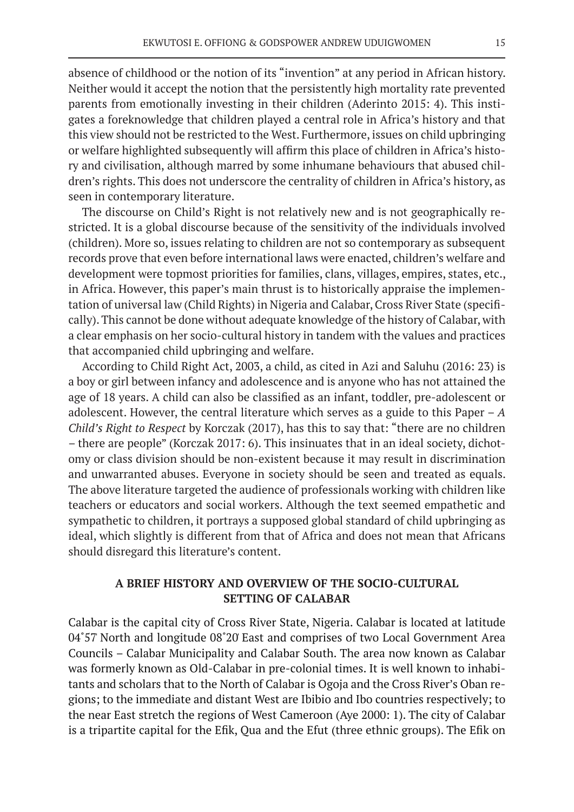absence of childhood or the notion of its "invention" at any period in African history. Neither would it accept the notion that the persistently high mortality rate prevented parents from emotionally investing in their children (Aderinto 2015: 4). This instigates a foreknowledge that children played a central role in Africa's history and that this view should not be restricted to the West. Furthermore, issues on child upbringing or welfare highlighted subsequently will affirm this place of children in Africa's history and civilisation, although marred by some inhumane behaviours that abused children's rights. This does not underscore the centrality of children in Africa's history, as seen in contemporary literature.

The discourse on Child's Right is not relatively new and is not geographically restricted. It is a global discourse because of the sensitivity of the individuals involved (children). More so, issues relating to children are not so contemporary as subsequent records prove that even before international laws were enacted, children's welfare and development were topmost priorities for families, clans, villages, empires, states, etc., in Africa. However, this paper's main thrust is to historically appraise the implementation of universal law (Child Rights) in Nigeria and Calabar, Cross River State (specifically). This cannot be done without adequate knowledge of the history of Calabar, with a clear emphasis on her socio-cultural history in tandem with the values and practices that accompanied child upbringing and welfare.

According to Child Right Act, 2003, a child, as cited in Azi and Saluhu (2016: 23) is a boy or girl between infancy and adolescence and is anyone who has not attained the age of 18 years. A child can also be classified as an infant, toddler, pre-adolescent or adolescent. However, the central literature which serves as a guide to this Paper – *A Child's Right to Respect* by Korczak (2017), has this to say that: "there are no children – there are people" (Korczak 2017: 6). This insinuates that in an ideal society, dichotomy or class division should be non-existent because it may result in discrimination and unwarranted abuses. Everyone in society should be seen and treated as equals. The above literature targeted the audience of professionals working with children like teachers or educators and social workers. Although the text seemed empathetic and sympathetic to children, it portrays a supposed global standard of child upbringing as ideal, which slightly is different from that of Africa and does not mean that Africans should disregard this literature's content.

# **A BRIEF HISTORY AND OVERVIEW OF THE SOCIO-CULTURAL SETTING OF CALABAR**

Calabar is the capital city of Cross River State, Nigeria. Calabar is located at latitude 04˚57̍ North and longitude 08˚20̍ East and comprises of two Local Government Area Councils – Calabar Municipality and Calabar South. The area now known as Calabar was formerly known as Old-Calabar in pre-colonial times. It is well known to inhabitants and scholars that to the North of Calabar is Ogoja and the Cross River's Oban regions; to the immediate and distant West are Ibibio and Ibo countries respectively; to the near East stretch the regions of West Cameroon (Aye 2000: 1). The city of Calabar is a tripartite capital for the Efik, Qua and the Efut (three ethnic groups). The Efik on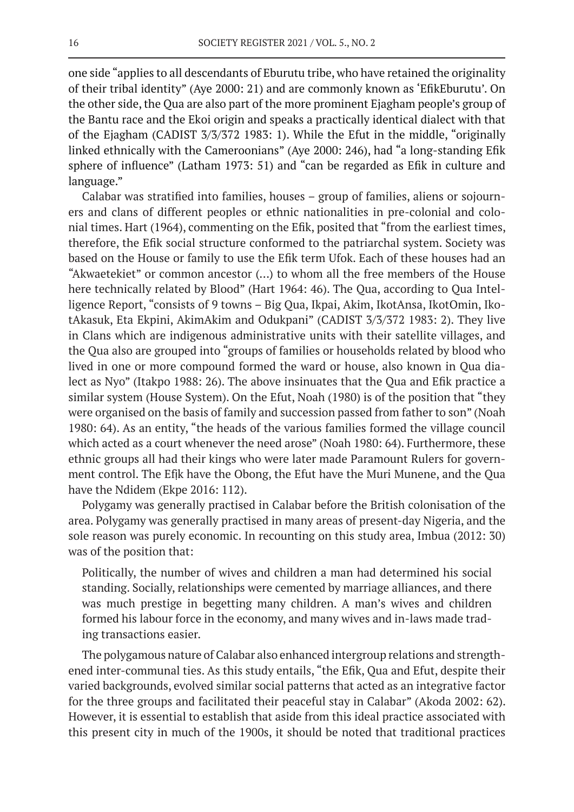one side "applies to all descendants of Eburutu tribe, who have retained the originality of their tribal identity" (Aye 2000: 21) and are commonly known as 'EfikEburutu'. On the other side, the Qua are also part of the more prominent Ejagham people's group of the Bantu race and the Ekoi origin and speaks a practically identical dialect with that of the Ejagham (CADIST 3/3/372 1983: 1). While the Efut in the middle, "originally linked ethnically with the Cameroonians" (Aye 2000: 246), had "a long-standing Efik sphere of influence" (Latham 1973: 51) and "can be regarded as Efik in culture and language."

Calabar was stratified into families, houses – group of families, aliens or sojourners and clans of different peoples or ethnic nationalities in pre-colonial and colonial times. Hart (1964), commenting on the Efik, posited that "from the earliest times, therefore, the Efik social structure conformed to the patriarchal system. Society was based on the House or family to use the Efik term Ufok. Each of these houses had an "Akwaetekiet" or common ancestor (…) to whom all the free members of the House here technically related by Blood" (Hart 1964: 46). The Qua, according to Qua Intelligence Report, "consists of 9 towns – Big Qua, Ikpai, Akim, IkotAnsa, IkotOmin, IkotAkasuk, Eta Ekpini, AkimAkim and Odukpani" (CADIST 3/3/372 1983: 2). They live in Clans which are indigenous administrative units with their satellite villages, and the Qua also are grouped into "groups of families or households related by blood who lived in one or more compound formed the ward or house, also known in Qua dialect as Nyo" (Itakpo 1988: 26). The above insinuates that the Qua and Efik practice a similar system (House System). On the Efut, Noah (1980) is of the position that "they were organised on the basis of family and succession passed from father to son" (Noah 1980: 64). As an entity, "the heads of the various families formed the village council which acted as a court whenever the need arose" (Noah 1980: 64). Furthermore, these ethnic groups all had their kings who were later made Paramount Rulers for government control. The Efịk have the Obong, the Efut have the Muri Munene, and the Qua have the Ndidem (Ekpe 2016: 112).

Polygamy was generally practised in Calabar before the British colonisation of the area. Polygamy was generally practised in many areas of present-day Nigeria, and the sole reason was purely economic. In recounting on this study area, Imbua (2012: 30) was of the position that:

Politically, the number of wives and children a man had determined his social standing. Socially, relationships were cemented by marriage alliances, and there was much prestige in begetting many children. A man's wives and children formed his labour force in the economy, and many wives and in-laws made trading transactions easier.

The polygamous nature of Calabar also enhanced intergroup relations and strengthened inter-communal ties. As this study entails, "the Efik, Qua and Efut, despite their varied backgrounds, evolved similar social patterns that acted as an integrative factor for the three groups and facilitated their peaceful stay in Calabar" (Akoda 2002: 62). However, it is essential to establish that aside from this ideal practice associated with this present city in much of the 1900s, it should be noted that traditional practices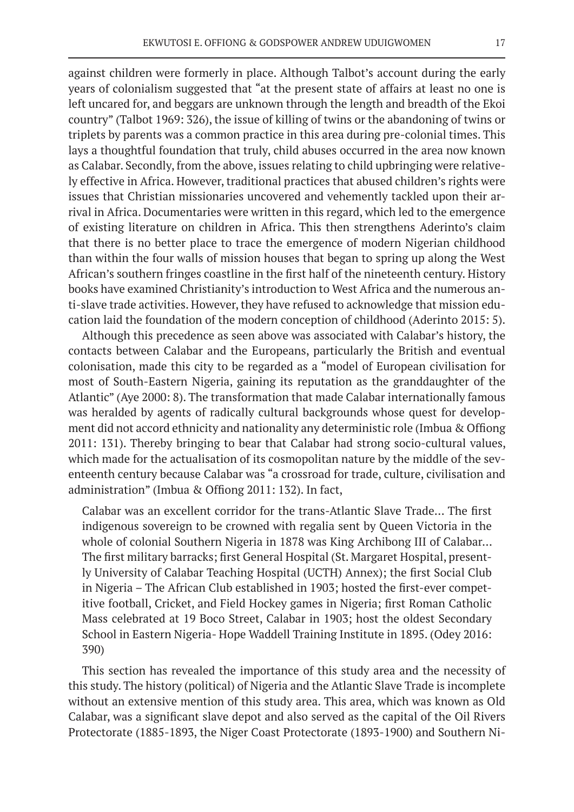against children were formerly in place. Although Talbot's account during the early years of colonialism suggested that "at the present state of affairs at least no one is left uncared for, and beggars are unknown through the length and breadth of the Ekoi country" (Talbot 1969: 326), the issue of killing of twins or the abandoning of twins or triplets by parents was a common practice in this area during pre-colonial times. This lays a thoughtful foundation that truly, child abuses occurred in the area now known as Calabar. Secondly, from the above, issues relating to child upbringing were relatively effective in Africa. However, traditional practices that abused children's rights were issues that Christian missionaries uncovered and vehemently tackled upon their arrival in Africa. Documentaries were written in this regard, which led to the emergence of existing literature on children in Africa. This then strengthens Aderinto's claim that there is no better place to trace the emergence of modern Nigerian childhood than within the four walls of mission houses that began to spring up along the West African's southern fringes coastline in the first half of the nineteenth century. History books have examined Christianity's introduction to West Africa and the numerous anti-slave trade activities. However, they have refused to acknowledge that mission education laid the foundation of the modern conception of childhood (Aderinto 2015: 5).

Although this precedence as seen above was associated with Calabar's history, the contacts between Calabar and the Europeans, particularly the British and eventual colonisation, made this city to be regarded as a "model of European civilisation for most of South-Eastern Nigeria, gaining its reputation as the granddaughter of the Atlantic" (Aye 2000: 8). The transformation that made Calabar internationally famous was heralded by agents of radically cultural backgrounds whose quest for development did not accord ethnicity and nationality any deterministic role (Imbua & Offiong 2011: 131). Thereby bringing to bear that Calabar had strong socio-cultural values, which made for the actualisation of its cosmopolitan nature by the middle of the seventeenth century because Calabar was "a crossroad for trade, culture, civilisation and administration" (Imbua & Offiong 2011: 132). In fact,

Calabar was an excellent corridor for the trans-Atlantic Slave Trade… The first indigenous sovereign to be crowned with regalia sent by Queen Victoria in the whole of colonial Southern Nigeria in 1878 was King Archibong III of Calabar… The first military barracks; first General Hospital (St. Margaret Hospital, presently University of Calabar Teaching Hospital (UCTH) Annex); the first Social Club in Nigeria – The African Club established in 1903; hosted the first-ever competitive football, Cricket, and Field Hockey games in Nigeria; first Roman Catholic Mass celebrated at 19 Boco Street, Calabar in 1903; host the oldest Secondary School in Eastern Nigeria- Hope Waddell Training Institute in 1895. (Odey 2016: 390)

This section has revealed the importance of this study area and the necessity of this study. The history (political) of Nigeria and the Atlantic Slave Trade is incomplete without an extensive mention of this study area. This area, which was known as Old Calabar, was a significant slave depot and also served as the capital of the Oil Rivers Protectorate (1885-1893, the Niger Coast Protectorate (1893-1900) and Southern Ni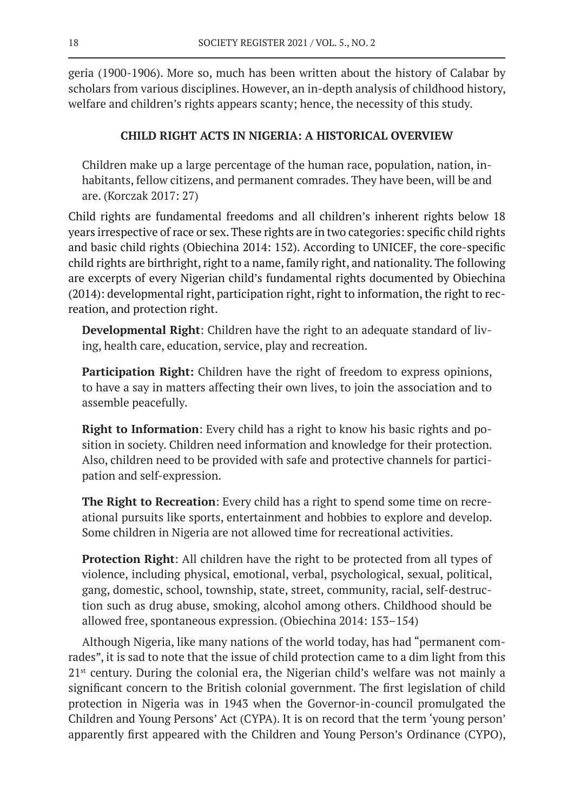geria (1900-1906). More so, much has been written about the history of Calabar by scholars from various disciplines. However, an in-depth analysis of childhood history, welfare and children's rights appears scanty; hence, the necessity of this study.

# **CHILD RIGHT ACTS IN NIGERIA: A HISTORICAL OVERVIEW**

Children make up a large percentage of the human race, population, nation, inhabitants, fellow citizens, and permanent comrades. They have been, will be and are. (Korczak 2017: 27)

Child rights are fundamental freedoms and all children's inherent rights below 18 years irrespective of race or sex. These rights are in two categories: specific child rights and basic child rights (Obiechina 2014: 152). According to UNICEF, the core-specific child rights are birthright, right to a name, family right, and nationality. The following are excerpts of every Nigerian child's fundamental rights documented by Obiechina (2014): developmental right, participation right, right to information, the right to recreation, and protection right.

**Developmental Right**: Children have the right to an adequate standard of living, health care, education, service, play and recreation.

**Participation Right:** Children have the right of freedom to express opinions, to have a say in matters affecting their own lives, to join the association and to assemble peacefully.

**Right to Information**: Every child has a right to know his basic rights and position in society. Children need information and knowledge for their protection. Also, children need to be provided with safe and protective channels for participation and self-expression.

**The Right to Recreation**: Every child has a right to spend some time on recreational pursuits like sports, entertainment and hobbies to explore and develop. Some children in Nigeria are not allowed time for recreational activities.

**Protection Right**: All children have the right to be protected from all types of violence, including physical, emotional, verbal, psychological, sexual, political, gang, domestic, school, township, state, street, community, racial, self-destruction such as drug abuse, smoking, alcohol among others. Childhood should be allowed free, spontaneous expression. (Obiechina 2014: 153–154)

Although Nigeria, like many nations of the world today, has had "permanent comrades", it is sad to note that the issue of child protection came to a dim light from this  $21<sup>st</sup>$  century. During the colonial era, the Nigerian child's welfare was not mainly a significant concern to the British colonial government. The first legislation of child protection in Nigeria was in 1943 when the Governor-in-council promulgated the Children and Young Persons' Act (CYPA). It is on record that the term 'young person' apparently first appeared with the Children and Young Person's Ordinance (CYPO),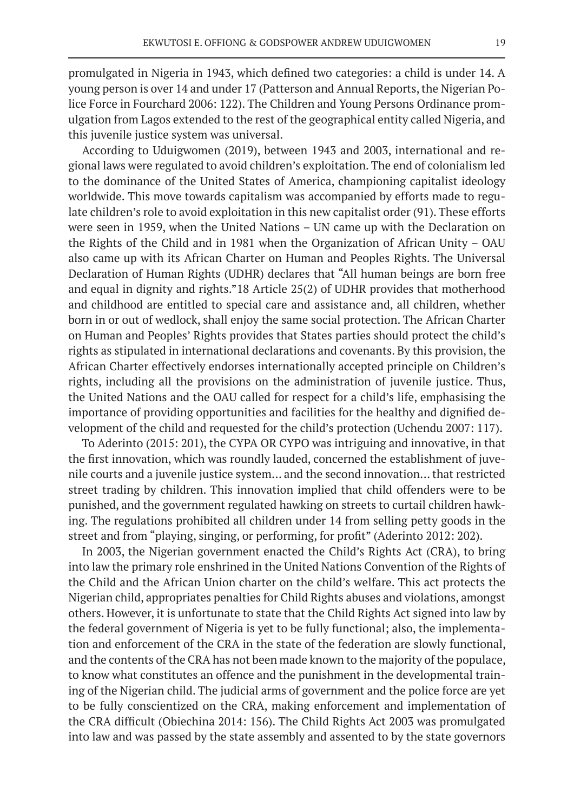promulgated in Nigeria in 1943, which defined two categories: a child is under 14. A young person is over 14 and under 17 (Patterson and Annual Reports, the Nigerian Police Force in Fourchard 2006: 122). The Children and Young Persons Ordinance promulgation from Lagos extended to the rest of the geographical entity called Nigeria, and this juvenile justice system was universal.

According to Uduigwomen (2019), between 1943 and 2003, international and regional laws were regulated to avoid children's exploitation. The end of colonialism led to the dominance of the United States of America, championing capitalist ideology worldwide. This move towards capitalism was accompanied by efforts made to regulate children's role to avoid exploitation in this new capitalist order (91). These efforts were seen in 1959, when the United Nations – UN came up with the Declaration on the Rights of the Child and in 1981 when the Organization of African Unity – OAU also came up with its African Charter on Human and Peoples Rights. The Universal Declaration of Human Rights (UDHR) declares that "All human beings are born free and equal in dignity and rights."18 Article 25(2) of UDHR provides that motherhood and childhood are entitled to special care and assistance and, all children, whether born in or out of wedlock, shall enjoy the same social protection. The African Charter on Human and Peoples' Rights provides that States parties should protect the child's rights as stipulated in international declarations and covenants. By this provision, the African Charter effectively endorses internationally accepted principle on Children's rights, including all the provisions on the administration of juvenile justice. Thus, the United Nations and the OAU called for respect for a child's life, emphasising the importance of providing opportunities and facilities for the healthy and dignified development of the child and requested for the child's protection (Uchendu 2007: 117).

To Aderinto (2015: 201), the CYPA OR CYPO was intriguing and innovative, in that the first innovation, which was roundly lauded, concerned the establishment of juvenile courts and a juvenile justice system… and the second innovation… that restricted street trading by children. This innovation implied that child offenders were to be punished, and the government regulated hawking on streets to curtail children hawking. The regulations prohibited all children under 14 from selling petty goods in the street and from "playing, singing, or performing, for profit" (Aderinto 2012: 202).

In 2003, the Nigerian government enacted the Child's Rights Act (CRA), to bring into law the primary role enshrined in the United Nations Convention of the Rights of the Child and the African Union charter on the child's welfare. This act protects the Nigerian child, appropriates penalties for Child Rights abuses and violations, amongst others. However, it is unfortunate to state that the Child Rights Act signed into law by the federal government of Nigeria is yet to be fully functional; also, the implementation and enforcement of the CRA in the state of the federation are slowly functional, and the contents of the CRA has not been made known to the majority of the populace, to know what constitutes an offence and the punishment in the developmental training of the Nigerian child. The judicial arms of government and the police force are yet to be fully conscientized on the CRA, making enforcement and implementation of the CRA difficult (Obiechina 2014: 156). The Child Rights Act 2003 was promulgated into law and was passed by the state assembly and assented to by the state governors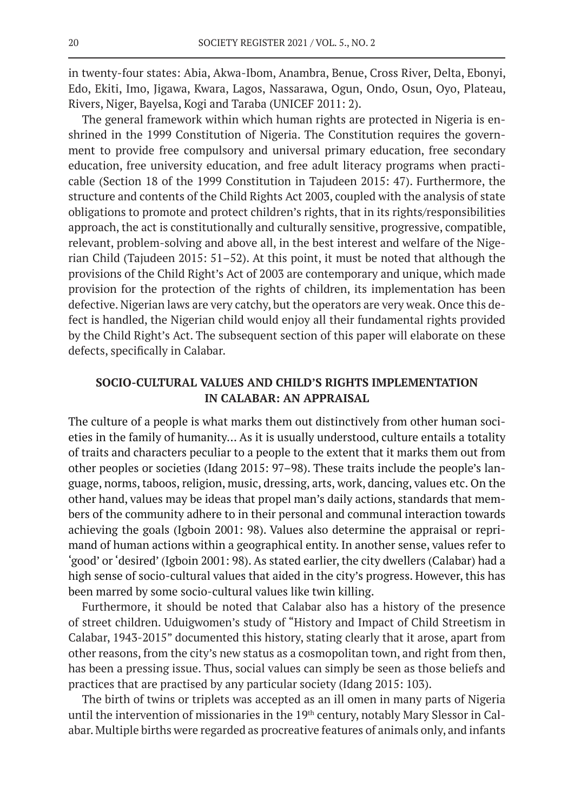in twenty-four states: Abia, Akwa-Ibom, Anambra, Benue, Cross River, Delta, Ebonyi, Edo, Ekiti, Imo, Jigawa, Kwara, Lagos, Nassarawa, Ogun, Ondo, Osun, Oyo, Plateau, Rivers, Niger, Bayelsa, Kogi and Taraba (UNICEF 2011: 2).

The general framework within which human rights are protected in Nigeria is enshrined in the 1999 Constitution of Nigeria. The Constitution requires the government to provide free compulsory and universal primary education, free secondary education, free university education, and free adult literacy programs when practicable (Section 18 of the 1999 Constitution in Tajudeen 2015: 47). Furthermore, the structure and contents of the Child Rights Act 2003, coupled with the analysis of state obligations to promote and protect children's rights, that in its rights/responsibilities approach, the act is constitutionally and culturally sensitive, progressive, compatible, relevant, problem-solving and above all, in the best interest and welfare of the Nigerian Child (Tajudeen 2015: 51–52). At this point, it must be noted that although the provisions of the Child Right's Act of 2003 are contemporary and unique, which made provision for the protection of the rights of children, its implementation has been defective. Nigerian laws are very catchy, but the operators are very weak. Once this defect is handled, the Nigerian child would enjoy all their fundamental rights provided by the Child Right's Act. The subsequent section of this paper will elaborate on these defects, specifically in Calabar.

### **SOCIO-CULTURAL VALUES AND CHILD'S RIGHTS IMPLEMENTATION IN CALABAR: AN APPRAISAL**

The culture of a people is what marks them out distinctively from other human societies in the family of humanity… As it is usually understood, culture entails a totality of traits and characters peculiar to a people to the extent that it marks them out from other peoples or societies (Idang 2015: 97–98). These traits include the people's language, norms, taboos, religion, music, dressing, arts, work, dancing, values etc. On the other hand, values may be ideas that propel man's daily actions, standards that members of the community adhere to in their personal and communal interaction towards achieving the goals (Igboin 2001: 98). Values also determine the appraisal or reprimand of human actions within a geographical entity. In another sense, values refer to 'good' or 'desired' (Igboin 2001: 98). As stated earlier, the city dwellers (Calabar) had a high sense of socio-cultural values that aided in the city's progress. However, this has been marred by some socio-cultural values like twin killing.

Furthermore, it should be noted that Calabar also has a history of the presence of street children. Uduigwomen's study of "History and Impact of Child Streetism in Calabar, 1943-2015" documented this history, stating clearly that it arose, apart from other reasons, from the city's new status as a cosmopolitan town, and right from then, has been a pressing issue. Thus, social values can simply be seen as those beliefs and practices that are practised by any particular society (Idang 2015: 103).

The birth of twins or triplets was accepted as an ill omen in many parts of Nigeria until the intervention of missionaries in the 19<sup>th</sup> century, notably Mary Slessor in Calabar. Multiple births were regarded as procreative features of animals only, and infants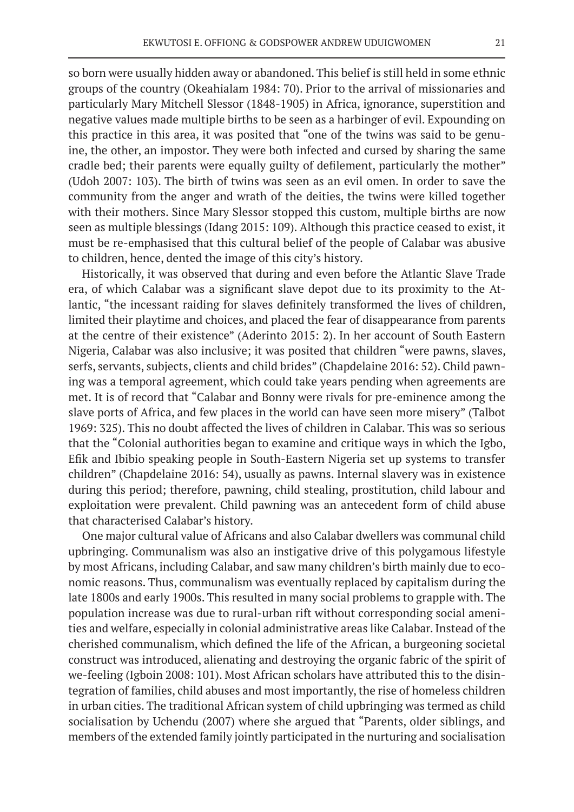so born were usually hidden away or abandoned. This belief is still held in some ethnic groups of the country (Okeahialam 1984: 70). Prior to the arrival of missionaries and particularly Mary Mitchell Slessor (1848-1905) in Africa, ignorance, superstition and negative values made multiple births to be seen as a harbinger of evil. Expounding on this practice in this area, it was posited that "one of the twins was said to be genuine, the other, an impostor. They were both infected and cursed by sharing the same cradle bed; their parents were equally guilty of defilement, particularly the mother" (Udoh 2007: 103). The birth of twins was seen as an evil omen. In order to save the community from the anger and wrath of the deities, the twins were killed together with their mothers. Since Mary Slessor stopped this custom, multiple births are now seen as multiple blessings (Idang 2015: 109). Although this practice ceased to exist, it must be re-emphasised that this cultural belief of the people of Calabar was abusive to children, hence, dented the image of this city's history.

Historically, it was observed that during and even before the Atlantic Slave Trade era, of which Calabar was a significant slave depot due to its proximity to the Atlantic, "the incessant raiding for slaves definitely transformed the lives of children, limited their playtime and choices, and placed the fear of disappearance from parents at the centre of their existence" (Aderinto 2015: 2). In her account of South Eastern Nigeria, Calabar was also inclusive; it was posited that children "were pawns, slaves, serfs, servants, subjects, clients and child brides" (Chapdelaine 2016: 52). Child pawning was a temporal agreement, which could take years pending when agreements are met. It is of record that "Calabar and Bonny were rivals for pre-eminence among the slave ports of Africa, and few places in the world can have seen more misery" (Talbot 1969: 325). This no doubt affected the lives of children in Calabar. This was so serious that the "Colonial authorities began to examine and critique ways in which the Igbo, Efik and Ibibio speaking people in South-Eastern Nigeria set up systems to transfer children" (Chapdelaine 2016: 54), usually as pawns. Internal slavery was in existence during this period; therefore, pawning, child stealing, prostitution, child labour and exploitation were prevalent. Child pawning was an antecedent form of child abuse that characterised Calabar's history.

One major cultural value of Africans and also Calabar dwellers was communal child upbringing. Communalism was also an instigative drive of this polygamous lifestyle by most Africans, including Calabar, and saw many children's birth mainly due to economic reasons. Thus, communalism was eventually replaced by capitalism during the late 1800s and early 1900s. This resulted in many social problems to grapple with. The population increase was due to rural-urban rift without corresponding social amenities and welfare, especially in colonial administrative areas like Calabar. Instead of the cherished communalism, which defined the life of the African, a burgeoning societal construct was introduced, alienating and destroying the organic fabric of the spirit of we-feeling (Igboin 2008: 101). Most African scholars have attributed this to the disintegration of families, child abuses and most importantly, the rise of homeless children in urban cities. The traditional African system of child upbringing was termed as child socialisation by Uchendu (2007) where she argued that "Parents, older siblings, and members of the extended family jointly participated in the nurturing and socialisation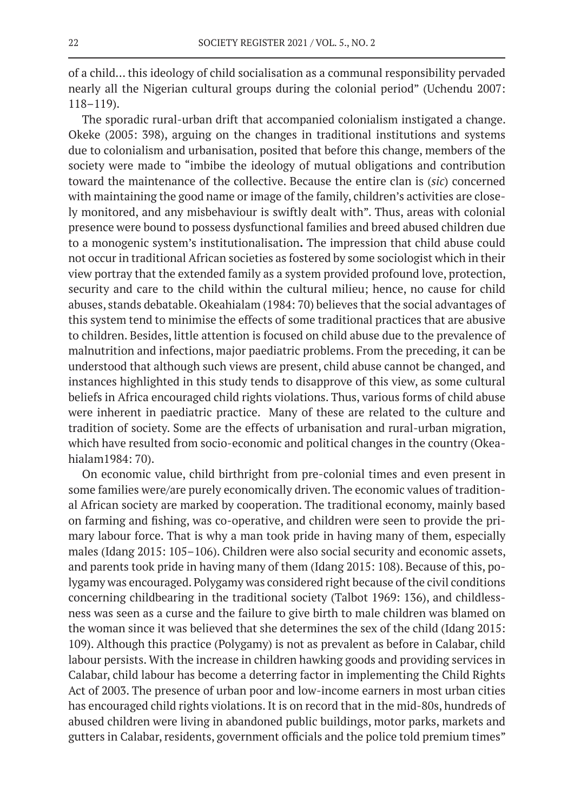of a child… this ideology of child socialisation as a communal responsibility pervaded nearly all the Nigerian cultural groups during the colonial period" (Uchendu 2007: 118–119).

The sporadic rural-urban drift that accompanied colonialism instigated a change. Okeke (2005: 398), arguing on the changes in traditional institutions and systems due to colonialism and urbanisation, posited that before this change, members of the society were made to "imbibe the ideology of mutual obligations and contribution toward the maintenance of the collective. Because the entire clan is (*sic*) concerned with maintaining the good name or image of the family, children's activities are closely monitored, and any misbehaviour is swiftly dealt with". Thus, areas with colonial presence were bound to possess dysfunctional families and breed abused children due to a monogenic system's institutionalisation**.** The impression that child abuse could not occur in traditional African societies as fostered by some sociologist which in their view portray that the extended family as a system provided profound love, protection, security and care to the child within the cultural milieu; hence, no cause for child abuses, stands debatable. Okeahialam (1984: 70) believes that the social advantages of this system tend to minimise the effects of some traditional practices that are abusive to children. Besides, little attention is focused on child abuse due to the prevalence of malnutrition and infections, major paediatric problems. From the preceding, it can be understood that although such views are present, child abuse cannot be changed, and instances highlighted in this study tends to disapprove of this view, as some cultural beliefs in Africa encouraged child rights violations. Thus, various forms of child abuse were inherent in paediatric practice. Many of these are related to the culture and tradition of society. Some are the effects of urbanisation and rural-urban migration, which have resulted from socio-economic and political changes in the country (Okeahialam1984: 70).

On economic value, child birthright from pre-colonial times and even present in some families were/are purely economically driven. The economic values of traditional African society are marked by cooperation. The traditional economy, mainly based on farming and fishing, was co-operative, and children were seen to provide the primary labour force. That is why a man took pride in having many of them, especially males (Idang 2015: 105–106). Children were also social security and economic assets, and parents took pride in having many of them (Idang 2015: 108). Because of this, polygamy was encouraged. Polygamy was considered right because of the civil conditions concerning childbearing in the traditional society (Talbot 1969: 136), and childlessness was seen as a curse and the failure to give birth to male children was blamed on the woman since it was believed that she determines the sex of the child (Idang 2015: 109). Although this practice (Polygamy) is not as prevalent as before in Calabar, child labour persists. With the increase in children hawking goods and providing services in Calabar, child labour has become a deterring factor in implementing the Child Rights Act of 2003. The presence of urban poor and low-income earners in most urban cities has encouraged child rights violations. It is on record that in the mid-80s, hundreds of abused children were living in abandoned public buildings, motor parks, markets and gutters in Calabar, residents, government officials and the police told premium times"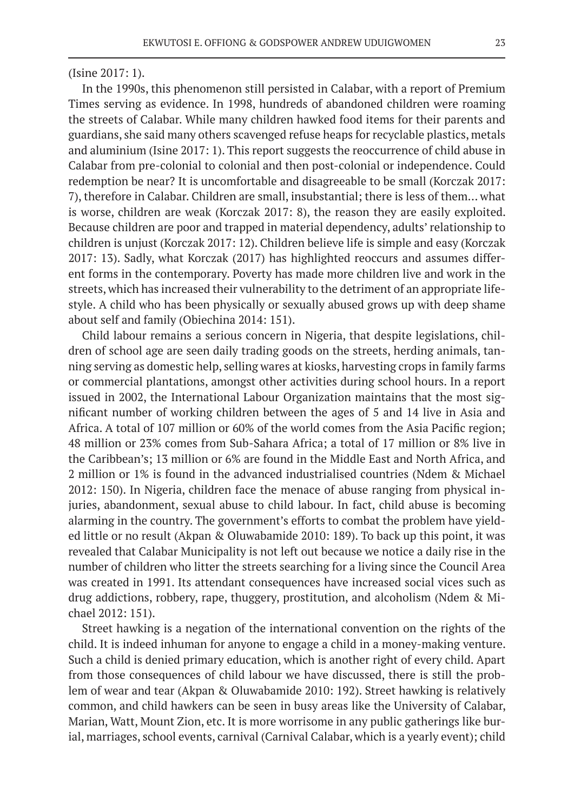#### (Isine 2017: 1).

In the 1990s, this phenomenon still persisted in Calabar, with a report of Premium Times serving as evidence. In 1998, hundreds of abandoned children were roaming the streets of Calabar. While many children hawked food items for their parents and guardians, she said many others scavenged refuse heaps for recyclable plastics, metals and aluminium (Isine 2017: 1). This report suggests the reoccurrence of child abuse in Calabar from pre-colonial to colonial and then post-colonial or independence. Could redemption be near? It is uncomfortable and disagreeable to be small (Korczak 2017: 7), therefore in Calabar. Children are small, insubstantial; there is less of them… what is worse, children are weak (Korczak 2017: 8), the reason they are easily exploited. Because children are poor and trapped in material dependency, adults' relationship to children is unjust (Korczak 2017: 12). Children believe life is simple and easy (Korczak 2017: 13). Sadly, what Korczak (2017) has highlighted reoccurs and assumes different forms in the contemporary. Poverty has made more children live and work in the streets, which has increased their vulnerability to the detriment of an appropriate lifestyle. A child who has been physically or sexually abused grows up with deep shame about self and family (Obiechina 2014: 151).

Child labour remains a serious concern in Nigeria, that despite legislations, children of school age are seen daily trading goods on the streets, herding animals, tanning serving as domestic help, selling wares at kiosks, harvesting crops in family farms or commercial plantations, amongst other activities during school hours. In a report issued in 2002, the International Labour Organization maintains that the most significant number of working children between the ages of 5 and 14 live in Asia and Africa. A total of 107 million or 60% of the world comes from the Asia Pacific region; 48 million or 23% comes from Sub-Sahara Africa; a total of 17 million or 8% live in the Caribbean's; 13 million or 6% are found in the Middle East and North Africa, and 2 million or 1% is found in the advanced industrialised countries (Ndem & Michael 2012: 150). In Nigeria, children face the menace of abuse ranging from physical injuries, abandonment, sexual abuse to child labour. In fact, child abuse is becoming alarming in the country. The government's efforts to combat the problem have yielded little or no result (Akpan & Oluwabamide 2010: 189). To back up this point, it was revealed that Calabar Municipality is not left out because we notice a daily rise in the number of children who litter the streets searching for a living since the Council Area was created in 1991. Its attendant consequences have increased social vices such as drug addictions, robbery, rape, thuggery, prostitution, and alcoholism (Ndem & Michael 2012: 151).

Street hawking is a negation of the international convention on the rights of the child. It is indeed inhuman for anyone to engage a child in a money-making venture. Such a child is denied primary education, which is another right of every child. Apart from those consequences of child labour we have discussed, there is still the problem of wear and tear (Akpan & Oluwabamide 2010: 192). Street hawking is relatively common, and child hawkers can be seen in busy areas like the University of Calabar, Marian, Watt, Mount Zion, etc. It is more worrisome in any public gatherings like burial, marriages, school events, carnival (Carnival Calabar, which is a yearly event); child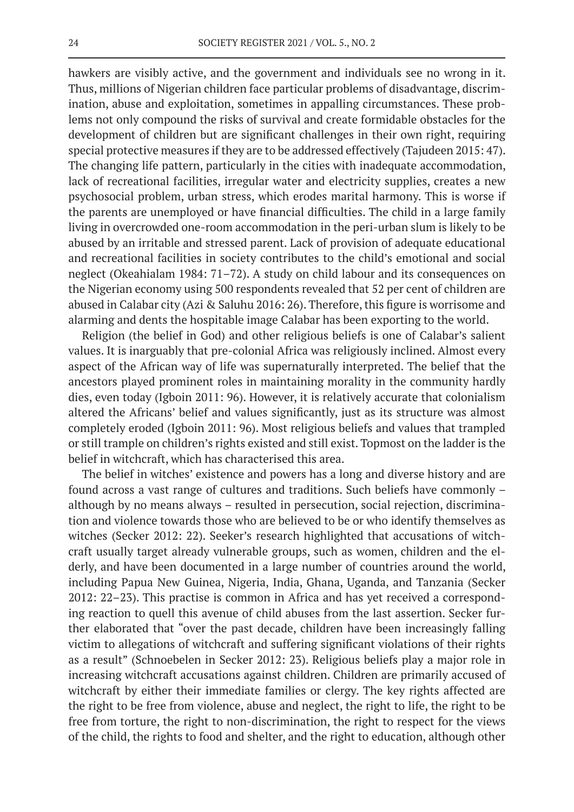hawkers are visibly active, and the government and individuals see no wrong in it. Thus, millions of Nigerian children face particular problems of disadvantage, discrimination, abuse and exploitation, sometimes in appalling circumstances. These problems not only compound the risks of survival and create formidable obstacles for the development of children but are significant challenges in their own right, requiring special protective measures if they are to be addressed effectively (Tajudeen 2015: 47). The changing life pattern, particularly in the cities with inadequate accommodation, lack of recreational facilities, irregular water and electricity supplies, creates a new psychosocial problem, urban stress, which erodes marital harmony. This is worse if the parents are unemployed or have financial difficulties. The child in a large family living in overcrowded one-room accommodation in the peri-urban slum is likely to be abused by an irritable and stressed parent. Lack of provision of adequate educational and recreational facilities in society contributes to the child's emotional and social neglect (Okeahialam 1984: 71–72). A study on child labour and its consequences on the Nigerian economy using 500 respondents revealed that 52 per cent of children are abused in Calabar city (Azi & Saluhu 2016: 26). Therefore, this figure is worrisome and alarming and dents the hospitable image Calabar has been exporting to the world.

Religion (the belief in God) and other religious beliefs is one of Calabar's salient values. It is inarguably that pre-colonial Africa was religiously inclined. Almost every aspect of the African way of life was supernaturally interpreted. The belief that the ancestors played prominent roles in maintaining morality in the community hardly dies, even today (Igboin 2011: 96). However, it is relatively accurate that colonialism altered the Africans' belief and values significantly, just as its structure was almost completely eroded (Igboin 2011: 96). Most religious beliefs and values that trampled or still trample on children's rights existed and still exist. Topmost on the ladder is the belief in witchcraft, which has characterised this area.

The belief in witches' existence and powers has a long and diverse history and are found across a vast range of cultures and traditions. Such beliefs have commonly – although by no means always – resulted in persecution, social rejection, discrimination and violence towards those who are believed to be or who identify themselves as witches (Secker 2012: 22). Seeker's research highlighted that accusations of witchcraft usually target already vulnerable groups, such as women, children and the elderly, and have been documented in a large number of countries around the world, including Papua New Guinea, Nigeria, India, Ghana, Uganda, and Tanzania (Secker 2012: 22–23). This practise is common in Africa and has yet received a corresponding reaction to quell this avenue of child abuses from the last assertion. Secker further elaborated that "over the past decade, children have been increasingly falling victim to allegations of witchcraft and suffering significant violations of their rights as a result" (Schnoebelen in Secker 2012: 23). Religious beliefs play a major role in increasing witchcraft accusations against children. Children are primarily accused of witchcraft by either their immediate families or clergy. The key rights affected are the right to be free from violence, abuse and neglect, the right to life, the right to be free from torture, the right to non-discrimination, the right to respect for the views of the child, the rights to food and shelter, and the right to education, although other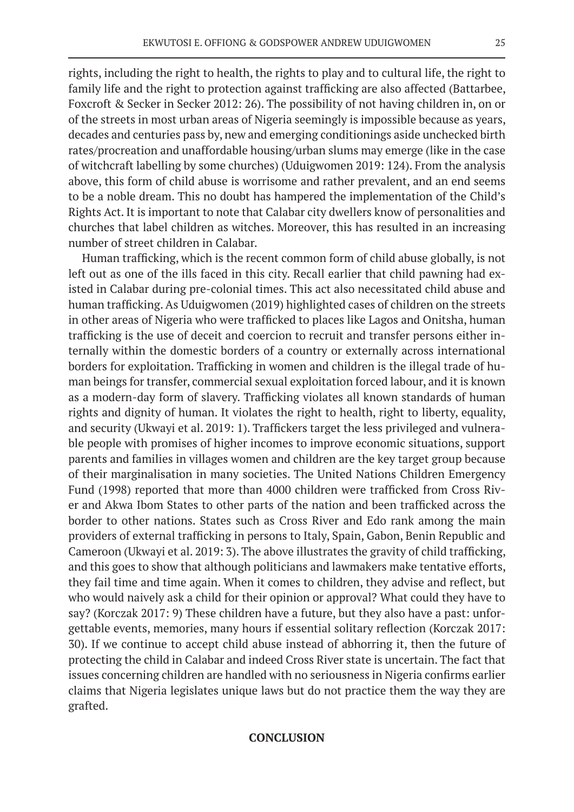rights, including the right to health, the rights to play and to cultural life, the right to family life and the right to protection against trafficking are also affected (Battarbee, Foxcroft & Secker in Secker 2012: 26). The possibility of not having children in, on or of the streets in most urban areas of Nigeria seemingly is impossible because as years, decades and centuries pass by, new and emerging conditionings aside unchecked birth rates/procreation and unaffordable housing/urban slums may emerge (like in the case of witchcraft labelling by some churches) (Uduigwomen 2019: 124). From the analysis above, this form of child abuse is worrisome and rather prevalent, and an end seems to be a noble dream. This no doubt has hampered the implementation of the Child's Rights Act. It is important to note that Calabar city dwellers know of personalities and churches that label children as witches. Moreover, this has resulted in an increasing number of street children in Calabar.

Human trafficking, which is the recent common form of child abuse globally, is not left out as one of the ills faced in this city. Recall earlier that child pawning had existed in Calabar during pre-colonial times. This act also necessitated child abuse and human trafficking. As Uduigwomen (2019) highlighted cases of children on the streets in other areas of Nigeria who were trafficked to places like Lagos and Onitsha, human trafficking is the use of deceit and coercion to recruit and transfer persons either internally within the domestic borders of a country or externally across international borders for exploitation. Trafficking in women and children is the illegal trade of human beings for transfer, commercial sexual exploitation forced labour, and it is known as a modern-day form of slavery. Trafficking violates all known standards of human rights and dignity of human. It violates the right to health, right to liberty, equality, and security (Ukwayi et al. 2019: 1). Traffickers target the less privileged and vulnerable people with promises of higher incomes to improve economic situations, support parents and families in villages women and children are the key target group because of their marginalisation in many societies. The United Nations Children Emergency Fund (1998) reported that more than 4000 children were trafficked from Cross River and Akwa Ibom States to other parts of the nation and been trafficked across the border to other nations. States such as Cross River and Edo rank among the main providers of external trafficking in persons to Italy, Spain, Gabon, Benin Republic and Cameroon (Ukwayi et al. 2019: 3). The above illustrates the gravity of child trafficking, and this goes to show that although politicians and lawmakers make tentative efforts, they fail time and time again. When it comes to children, they advise and reflect, but who would naively ask a child for their opinion or approval? What could they have to say? (Korczak 2017: 9) These children have a future, but they also have a past: unforgettable events, memories, many hours if essential solitary reflection (Korczak 2017: 30). If we continue to accept child abuse instead of abhorring it, then the future of protecting the child in Calabar and indeed Cross River state is uncertain. The fact that issues concerning children are handled with no seriousness in Nigeria confirms earlier claims that Nigeria legislates unique laws but do not practice them the way they are grafted.

### **CONCLUSION**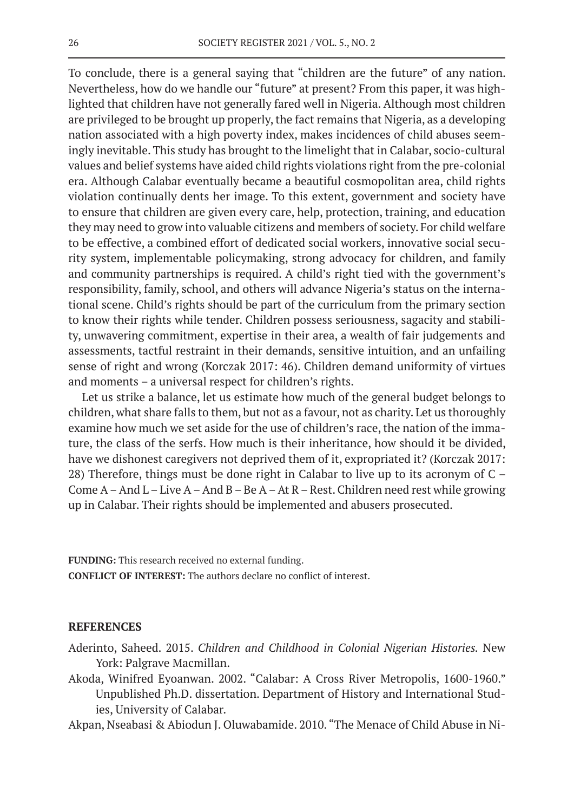To conclude, there is a general saying that "children are the future" of any nation. Nevertheless, how do we handle our "future" at present? From this paper, it was highlighted that children have not generally fared well in Nigeria. Although most children are privileged to be brought up properly, the fact remains that Nigeria, as a developing nation associated with a high poverty index, makes incidences of child abuses seemingly inevitable. This study has brought to the limelight that in Calabar, socio-cultural values and belief systems have aided child rights violations right from the pre-colonial era. Although Calabar eventually became a beautiful cosmopolitan area, child rights violation continually dents her image. To this extent, government and society have to ensure that children are given every care, help, protection, training, and education they may need to grow into valuable citizens and members of society. For child welfare to be effective, a combined effort of dedicated social workers, innovative social security system, implementable policymaking, strong advocacy for children, and family and community partnerships is required. A child's right tied with the government's responsibility, family, school, and others will advance Nigeria's status on the international scene. Child's rights should be part of the curriculum from the primary section to know their rights while tender. Children possess seriousness, sagacity and stability, unwavering commitment, expertise in their area, a wealth of fair judgements and assessments, tactful restraint in their demands, sensitive intuition, and an unfailing sense of right and wrong (Korczak 2017: 46). Children demand uniformity of virtues and moments – a universal respect for children's rights.

Let us strike a balance, let us estimate how much of the general budget belongs to children, what share falls to them, but not as a favour, not as charity. Let us thoroughly examine how much we set aside for the use of children's race, the nation of the immature, the class of the serfs. How much is their inheritance, how should it be divided, have we dishonest caregivers not deprived them of it, expropriated it? (Korczak 2017: 28) Therefore, things must be done right in Calabar to live up to its acronym of C – Come  $A - And L - Live A - And B - Be A - At R - Rest. Children need rest while growing$ up in Calabar. Their rights should be implemented and abusers prosecuted.

**FUNDING:** This research received no external funding. **CONFLICT OF INTEREST:** The authors declare no conflict of interest.

#### **REFERENCES**

- Aderinto, Saheed. 2015. *Children and Childhood in Colonial Nigerian Histories.* New York: Palgrave Macmillan.
- Akoda, Winifred Eyoanwan. 2002. "Calabar: A Cross River Metropolis, 1600-1960." Unpublished Ph.D. dissertation. Department of History and International Studies, University of Calabar.
- Akpan, Nseabasi & Abiodun J. Oluwabamide. 2010. "The Menace of Child Abuse in Ni-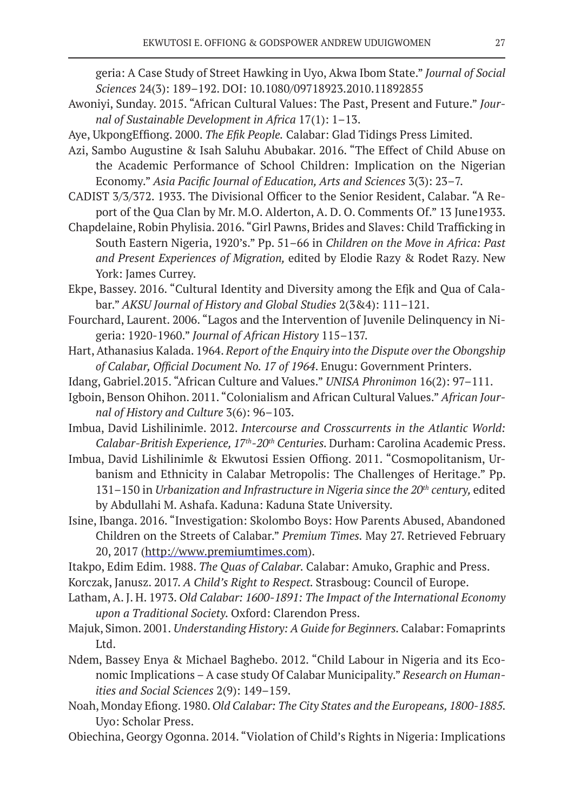geria: A Case Study of Street Hawking in Uyo, Akwa Ibom State." *Journal of Social Sciences* 24(3): 189–192. DOI: 10.1080/09718923.2010.11892855

- Awoniyi, Sunday. 2015. "African Cultural Values: The Past, Present and Future." *Journal of Sustainable Development in Africa* 17(1): 1–13.
- Aye, UkpongEffiong. 2000. *The Efik People.* Calabar: Glad Tidings Press Limited.
- Azi, Sambo Augustine & Isah Saluhu Abubakar. 2016. "The Effect of Child Abuse on the Academic Performance of School Children: Implication on the Nigerian Economy." *Asia Pacific Journal of Education, Arts and Sciences* 3(3): 23–7.
- CADIST 3/3/372. 1933. The Divisional Officer to the Senior Resident, Calabar. "A Report of the Qua Clan by Mr. M.O. Alderton, A. D. O. Comments Of." 13 June1933.
- Chapdelaine, Robin Phylisia. 2016. "Girl Pawns, Brides and Slaves: Child Trafficking in South Eastern Nigeria, 1920's." Pp. 51–66 in *Children on the Move in Africa: Past and Present Experiences of Migration,* edited by Elodie Razy & Rodet Razy. New York: James Currey.
- Ekpe, Bassey. 2016. "Cultural Identity and Diversity among the Efịk and Qua of Calabar." *AKSU Journal of History and Global Studies* 2(3&4): 111–121.
- Fourchard, Laurent. 2006. "Lagos and the Intervention of Juvenile Delinquency in Nigeria: 1920-1960." *Journal of African History* 115–137.
- Hart, Athanasius Kalada. 1964. *Report of the Enquiry into the Dispute over the Obongship of Calabar, Official Document No. 17 of 1964*. Enugu: Government Printers.
- Idang, Gabriel.2015. "African Culture and Values." *UNISA Phronimon* 16(2): 97–111.
- Igboin, Benson Ohihon. 2011. "Colonialism and African Cultural Values." *African Journal of History and Culture* 3(6): 96–103.
- Imbua, David Lishilinimle. 2012. *Intercourse and Crosscurrents in the Atlantic World: Calabar-British Experience, 17th-20th Centuries.* Durham: Carolina Academic Press.
- Imbua, David Lishilinimle & Ekwutosi Essien Offiong. 2011. "Cosmopolitanism, Urbanism and Ethnicity in Calabar Metropolis: The Challenges of Heritage." Pp. 131–150 in *Urbanization and Infrastructure in Nigeria since the 20th century,* edited by Abdullahi M. Ashafa. Kaduna: Kaduna State University.
- Isine, Ibanga. 2016. "Investigation: Skolombo Boys: How Parents Abused, Abandoned Children on the Streets of Calabar." *Premium Times.* May 27. Retrieved February 20, 2017 (http://www.premiumtimes.com).
- Itakpo, Edim Edim. 1988. *The Quas of Calabar.* Calabar: Amuko, Graphic and Press.
- Korczak, Janusz. 2017. *A Child's Right to Respect.* Strasboug: Council of Europe.
- Latham, A. J. H. 1973. *Old Calabar: 1600-1891: The Impact of the International Economy upon a Traditional Society.* Oxford: Clarendon Press.
- Majuk, Simon. 2001. *Understanding History: A Guide for Beginners.* Calabar: Fomaprints Ltd.
- Ndem, Bassey Enya & Michael Baghebo. 2012. "Child Labour in Nigeria and its Economic Implications – A case study Of Calabar Municipality." *Research on Humanities and Social Sciences* 2(9): 149–159.
- Noah, Monday Efiong. 1980. *Old Calabar: The City States and the Europeans, 1800-1885.*  Uyo: Scholar Press.
- Obiechina, Georgy Ogonna. 2014. "Violation of Child's Rights in Nigeria: Implications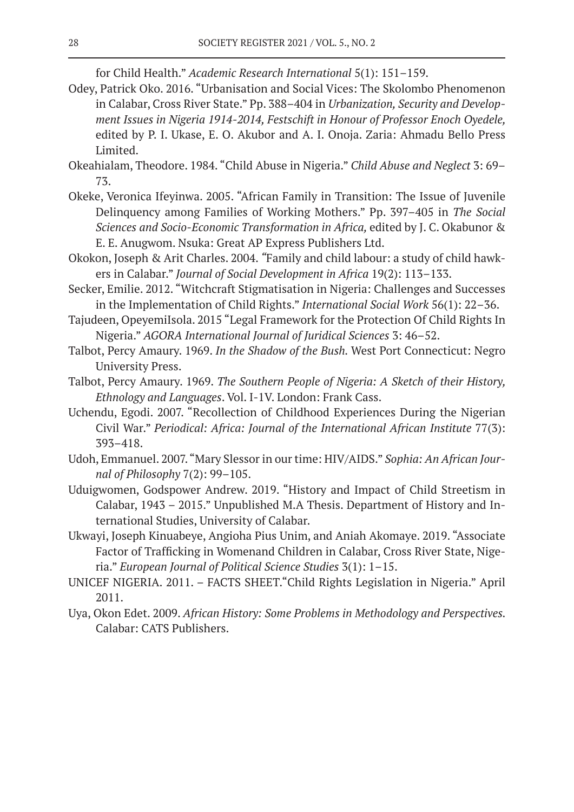for Child Health." *Academic Research International* 5(1): 151–159.

- Odey, Patrick Oko. 2016. "Urbanisation and Social Vices: The Skolombo Phenomenon in Calabar, Cross River State." Pp. 388–404 in *Urbanization, Security and Development Issues in Nigeria 1914-2014, Festschift in Honour of Professor Enoch Oyedele,*  edited by P. I. Ukase, E. O. Akubor and A. I. Onoja. Zaria: Ahmadu Bello Press Limited.
- Okeahialam, Theodore. 1984. "Child Abuse in Nigeria." *Child Abuse and Neglect* 3: 69– 73.
- Okeke, Veronica Ifeyinwa. 2005. "African Family in Transition: The Issue of Juvenile Delinquency among Families of Working Mothers." Pp. 397–405 in *The Social Sciences and Socio-Economic Transformation in Africa,* edited by J. C. Okabunor & E. E. Anugwom. Nsuka: Great AP Express Publishers Ltd.
- Okokon, Joseph & Arit Charles. 2004. *"*Family and child labour: a study of child hawkers in Calabar." *Journal of Social Development in Africa* 19(2): 113–133.
- Secker, Emilie. 2012. "Witchcraft Stigmatisation in Nigeria: Challenges and Successes in the Implementation of Child Rights." *International Social Work* 56(1): 22–36.
- Tajudeen, OpeyemiIsola. 2015 "Legal Framework for the Protection Of Child Rights In Nigeria." *AGORA International Journal of Juridical Sciences* 3: 46–52.
- Talbot, Percy Amaury. 1969. *In the Shadow of the Bush.* West Port Connecticut: Negro University Press.
- Talbot, Percy Amaury. 1969. *The Southern People of Nigeria: A Sketch of their History, Ethnology and Languages*. Vol. I-1V. London: Frank Cass.
- Uchendu, Egodi. 2007. "Recollection of Childhood Experiences During the Nigerian Civil War." *Periodical: Africa: Journal of the International African Institute* 77(3): 393–418.
- Udoh, Emmanuel. 2007. "Mary Slessor in our time: HIV/AIDS." *Sophia: An African Journal of Philosophy* 7(2): 99–105.
- Uduigwomen, Godspower Andrew. 2019. "History and Impact of Child Streetism in Calabar, 1943 – 2015." Unpublished M.A Thesis. Department of History and International Studies, University of Calabar.
- Ukwayi, Joseph Kinuabeye, Angioha Pius Unim, and Aniah Akomaye. 2019. "Associate Factor of Trafficking in Womenand Children in Calabar, Cross River State, Nigeria." *European Journal of Political Science Studies* 3(1): 1–15.
- UNICEF NIGERIA. 2011. FACTS SHEET."Child Rights Legislation in Nigeria." April 2011.
- Uya, Okon Edet. 2009. *African History: Some Problems in Methodology and Perspectives.*  Calabar: CATS Publishers.